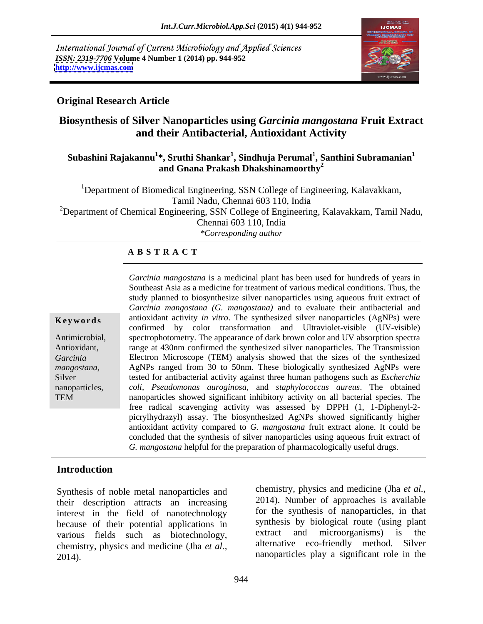International Journal of Current Microbiology and Applied Sciences *ISSN: 2319-7706* **Volume 4 Number 1 (2014) pp. 944-952 <http://www.ijcmas.com>**



## **Original Research Article**

# **Biosynthesis of Silver Nanoparticles using** *Garcinia mangostana* **Fruit Extract and their Antibacterial, Antioxidant Activity**

### **Subashini Rajakannu<sup>1</sup> \*, Sruthi Shankar<sup>1</sup> , Sindhuja Perumal<sup>1</sup> , Santhini Subramanian<sup>1</sup> and Gnana Prakash Dhakshinamoorthy2**

<sup>1</sup>Department of Biomedical Engineering, SSN College of Engineering, Kalavakkam, Tamil Nadu, Chennai 603 110, India <sup>2</sup>Department of Chemical Engineering, SSN College of Engineering, Kalavakkam, Tamil Nadu, Chennai 603 110, India *\*Corresponding author* 

### **A B S T R A C T**

**Keywords** antioxidant activity *in vitro*. The synthesized silver nanoparticles (AgNPs) were Antimicrobial, spectrophotometry. The appearance of dark brown color and UV absorption spectra Antioxidant, Tange at 430nm confirmed the synthesized silver nanoparticles. The Transmission *Garcinia*  Electron Microscope (TEM) analysis showed that the sizes of the synthesized *mangostana,*  AgNPs ranged from 30 to 50nm. These biologically synthesized AgNPs were Silver **tested for antibacterial activity against three human pathogens such as** *Escherchia* **<b>Escherchia** nanoparticles, *coli, Pseudomonas auroginosa,* and *staphylococcus aureus*. The obtained TEM nanoparticles showed significant inhibitory activity on all bacterial species. The *Garcinia mangostana* is a medicinal plant has been used for hundreds of years in Southeast Asia as a medicine for treatment of various medical conditions. Thus, the study planned to biosynthesize silver nanoparticles using aqueous fruit extract of *Garcinia mangostana (G. mangostana)* and to evaluate their antibacterial and confirmed by color transformation and Ultraviolet-visible (UV-visible) free radical scavenging activity was assessed by DPPH (1, 1-Diphenyl-2 picrylhydrazyl) assay. The biosynthesized AgNPs showed significantly higher antioxidant activity compared to *G. mangostana* fruit extract alone. It could be concluded that the synthesis of silver nanoparticles using aqueous fruit extract of *G. mangostana* helpful for the preparation of pharmacologically useful drugs.

# **Introduction**

Synthesis of noble metal nanoparticles and their description attracts an increasing interest in the field of nanotechnology because of their potential applications in synthesis by biological route (using plant<br>various fields such as biotechnology extract and microorganisms) is the various fields such as biotechnology, chemistry, physics and medicine (Jha *et al.,* 2014). nanoparticles play a significant role in the

chemistry, physics and medicine (Jha *et al.,* 2014). Number of approaches is available for the synthesis of nanoparticles, in that synthesis by biological route (using plant extract and microorganisms) is the alternative eco-friendly method. Silver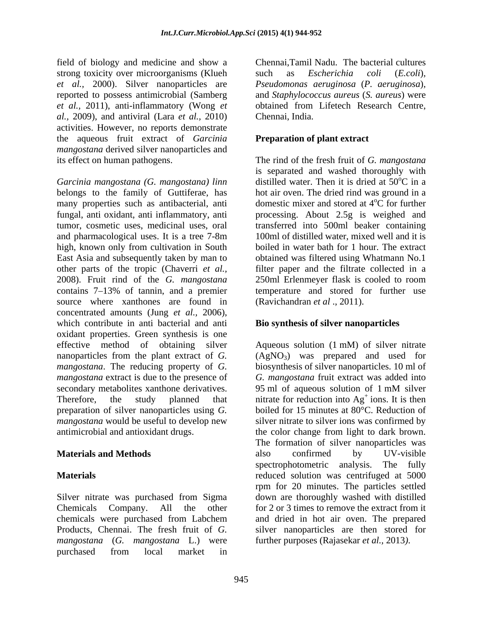field of biology and medicine and show a strong toxicity over microorganisms (Klueh such as *Escherichia coli* (*E.coli*), *et al.,* 2000). Silver nanoparticles are *et al.,* 2011), anti-inflammatory (Wong *et al.,* 2009), and antiviral (Lara *et al.,* 2010) activities. However, no reports demonstrate the aqueous fruit extract of *Garcinia mangostana* derived silver nanoparticles and

*Garcinia mangostana (G. mangostana) linn* belongs to the family of Guttiferae, has many properties such as antibacterial, anti fungal, anti oxidant, anti inflammatory, anti processing. About 2.5g is weighed and tumor, cosmetic uses, medicinal uses, oral transferred into 500ml beaker containing and pharmacological uses. It is a tree 7-8m high, known only from cultivation in South East Asia and subsequently taken by man to other parts of the tropic (Chaverri *et al.,* filter paper and the filtrate collected in a 2008). Fruit rind of the *G. mangostana* 250ml Erlenmeyer flask is cooled to room contains 7 13% of tannin, and a premier temperature and stored for further use source where xanthones are found in concentrated amounts (Jung *et al.,* 2006), which contribute in anti bacterial and anti oxidant properties.Green synthesis is one effective method of obtaining silver nanoparticles from the plant extract of *G*. (AgNO<sub>3</sub>) was prepared and used for *mangostana*. The reducing property of *G.*  biosynthesis of silver nanoparticles. 10 ml of *mangostana* extract is due to the presence of *G. mangostana* fruit extract was added into secondary metabolites xanthone derivatives. 95 ml of aqueous solution of 1 mM silver Therefore, the study planned that initrate for reduction into  $Ag<sup>+</sup>$  ions. It is then preparation of silver nanoparticles using *G. mangostana* would be useful to develop new

Silver nitrate was purchased from Sigma chemicals were purchased from Labchem *mangostana* (*G. mangostana* L.) were purchased from local market in

reported to possess antimicrobial (Samberg and *Staphylococcus aureus* (*S. aureus*) were Chennai,Tamil Nadu. The bacterial cultures such as *Escherichia coli* (*E.coli*)*, Pseudomonas aeruginosa* (*P. aeruginosa*)*,* obtained from Lifetech Research Centre, Chennai, India.

## **Preparation of plant extract**

its effect on human pathogens. The rind of the fresh fruit of *G. mangostana* is separated and washed thoroughly with distilled water. Then it is dried at  $50^{\circ}$ C in a  $\overline{C}$  in a hot air oven. The dried rind was ground in a domestic mixer and stored at  $4^{\circ}$ C for further <sup>o</sup>C for further 100ml of distilled water, mixed well and it is boiled in water bath for 1 hour. The extract obtained was filtered using Whatmann No.1 (Ravichandran *et al* ., 2011).

## **Bio synthesis of silver nanoparticles**

antimicrobial and antioxidant drugs. the color change from light to dark brown. **Materials and Methods CONSERVING EXAMPLE 2018 CONSERVING EXAMPLE 2019 12 UV-visible Materials**  reduced solution was centrifuged at 5000 Chemicals Company. All the other for 2 or 3 times to remove the extract from it Products, Chennai. The fresh fruit of *G.*  silver nanoparticles are then stored for Aqueous solution (1 mM) of silver nitrate 95 ml of aqueous solution of 1 mM silver ions. It is then boiled for 15 minutes at 80°C. Reduction of silver nitrate to silver ionswas confirmed by The formation of silver nanoparticles was also confirmed by UV-visible spectrophotometric analysis. The fully rpm for 20 minutes. The particles settled down are thoroughly washed with distilled and dried in hot air oven. The prepared further purposes (Rajasekar *et al.,* 2013*)*.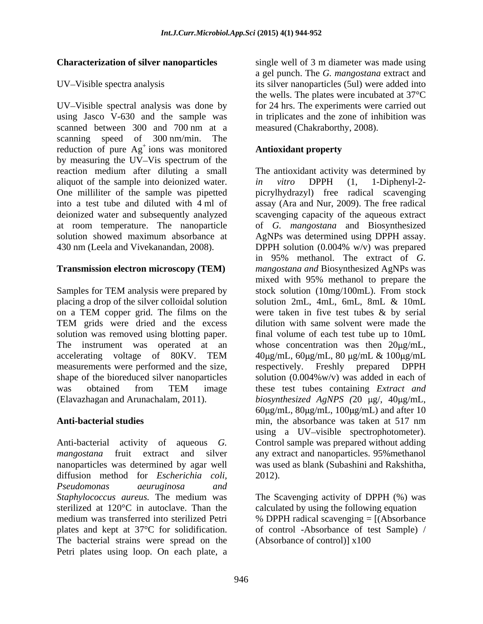### **Characterization of silver nanoparticles**

UV-Visible spectral analysis was done by for 24 hrs. The experiments were carried out using Jasco V-630 and the sample was in triplicates and the zone of inhibition was scanned between 300 and 700 nm at a scanning speed of 300 nm/min. The reduction of pure  $Ag<sup>+</sup>$  ions was monitored **Antioxidant property** by measuring the UV-Vis spectrum of the aliquot of the sample into deionized water. *in vitro* DPPH (1, 1-Diphenyl-2-

placing a drop of the silver colloidal solution measurements were performed and the size, respectively. Freshly prepared DPPH shape of the bioreduced silver nanoparticles

nanoparticles was determined by agar well diffusion method for *Escherichia coli, Pseudomonas aeuruginosa and Staphylococcus aureus.* The medium was The Scavenging activity of DPPH (%) was sterilized at 120°C in autoclave. Than the calculated by using the following equation medium was transferred into sterilized Petri % DPPH radical scavenging = [(Absorbance plates and kept at 37°C for solidification. of control -Absorbance of test Sample) / The bacterial strains were spread on the Petri plates using loop. On each plate, a

UV-Visible spectra analysis its silver nanoparticles (5ul) were added into single well of 3 m diameter was made using a gel punch. The *G. mangostana* extract and the wells. The plates were incubated at 37°C measured (Chakraborthy, 2008).

### ions was monitored **Antioxidant property Antioxidant property**

reaction medium after diluting a small The antioxidant activity was determined by One milliliter of the sample was pipetted picrylhydrazyl) free radical scavenging into a test tube and diluted with 4 ml of assay (Ara and Nur, 2009). The free radical deionized water and subsequently analyzed scavenging capacity of the aqueous extract at room temperature. The nanoparticle of *G. mangostana* and Biosynthesized solution showed maximum absorbance at AgNPs was determined using DPPH assay. 430 nm (Leela and Vivekanandan, 2008). DPPH solution (0.004% w/v) was prepared **Transmission electron microscopy (TEM)** *mangostana and* Biosynthesized AgNPs was Samples for TEM analysis were prepared by stock solution (10mg/100mL). From stock on a TEM copper grid. The films on the were taken in five test tubes & by serial TEM grids were dried and the excess is dilution with same solvent were made the solution was removed using blotting paper. final volume of each test tube up to 10mL The instrument was operated at an whose concentration was then  $20\mu g/mL$ , accelerating voltage of 80KV. TEM 40µg/mL, 60µg/mL, 80 µg/mL & 100µg/mL was obtained from TEM image these test tubes containing *Extract and* (Elavazhagan and Arunachalam, 2011). *biosynthesized AgNPS* (20 μg/, 40μg/mL, Anti-bacterial studies **and intervalled** and the subset of the absorbance was taken at 517 nm Anti-bacterial activity of aqueous *G.*  Control sample was prepared without adding mangostana fruit extract and silver any extract and nanoparticles. 95% methanol *in vitro* DPPH (1, 1-Diphenyl-2 in 95% methanol. The extract of *G.*  mixed with 95% methanol to prepare the stock solution (10mg/100mL). From stock solution 2mL, 4mL, 6mL, 8mL & 10mL dilution with same solvent were made the  $40 \mu$ g/mL,  $60 \mu$ g/mL,  $80 \mu$ g/mL &  $100 \mu$ g/mL respectively. Freshly prepared DPPH solution  $(0.004\% \text{w/v})$  was added in each of these test tubes containing *Extract and*  $60\mu$ g/mL,  $80\mu$ g/mL,  $100\mu$ g/mL) and after 10 min, the absorbance was taken at 517 nm using a UV-visible spectrophotometer). was used as blank (Subashini and Rakshitha, 2012).

(Absorbance of control)] x100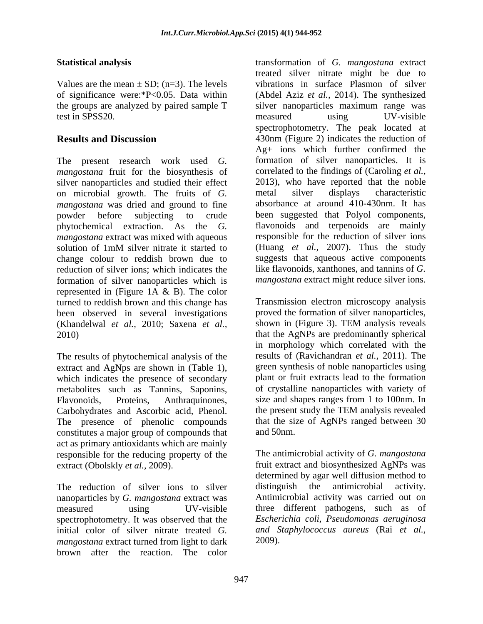The present research work used *G. mangostana* fruit for the biosynthesis of on microbial growth. The fruits of *G. mangostana* was dried and ground to fine *mangostana* extract was mixed with aqueous reduction of silver ions; which indicates the formation of silver nanoparticles which is represented in (Figure 1A & B). The color turned to reddish brown and this change has been observed in several investigations proved the formation of silver nanoparticles,<br>(Khandelwal *et al.*, 2010; Saxena *et al.*, shown in (Figure 3). TEM analysis reveals (Khandelwal *et al.,* 2010; Saxena *et al.,* 2010) that the AgNPs are predominantly spherical

The results of phytochemical analysis of the extract and AgNps are shown in (Table 1), which indicates the presence of secondary metabolites such as Tannins, Saponins, Flavonoids, Proteins, Anthraquinones, size and shapes ranges from 1 to 100nm. In Carbohydrates and Ascorbic acid, Phenol. The presence of phenolic compounds constitutes a major group of compounds that and 50nm. act as primary antioxidants which are mainly responsible for the reducing property of the

nanoparticles by *G. mangostana* extract was spectrophotometry. It was observed that the *mangostana* extract turned from light to dark brown after the reaction. The color

**Statistical analysis** transformation of *G. mangostana* extract Values are the mean  $\pm$  SD; (n=3). The levels vibrations in surface Plasmon of silver of significance were:\*P<0.05. Data within (Abdel Aziz *et al.,* 2014). The synthesized the groups are analyzed by paired sample T silver nanoparticles maximum range was test in SPSS20. The measured are using the UV-visible **Results and Discussion 430nm** (Figure 2) indicates the reduction of silver nanoparticles and studied their effect 2013), who have reported that the noble powder before subjecting to crude been suggested that Polyol components, phytochemical extraction. As the *G.*  flavonoids and terpenoids are mainly solution of 1mM silver nitrate it started to (Huang *et al.*, 2007). Thus the study change colour to reddish brown due to suggests that aqueous active components treated silver nitrate might be due to measured using UV-visible spectrophotometry. The peak located at Ag+ ions which further confirmed the formation of silver nanoparticles. It is correlated to the findings of (Caroling *et al.,* metal silver displays characteristic absorbance at around 410-430nm. It has responsible for the reduction of silver ions (Huang *et al.,* 2007). Thus the study like flavonoids, xanthones, and tannins of *G. mangostana* extract might reduce silver ions.

> Transmission electron microscopy analysis proved the formation of silver nanoparticles, shown in (Figure 3). TEM analysis reveals in morphology which correlated with the results of (Ravichandran *et al.,* 2011). The green synthesis of noble nanoparticles using plant or fruit extracts lead to the formation of crystalline nanoparticles with variety of the present study the TEM analysis revealed that the size of AgNPs ranged between 30 and 50nm.

extract (Obolskly *et al.*, 2009). fruit extract and biosynthesized AgNPs was The reduction of silver ions to silver distinguish the antimicrobial activity. measured using UV-visible three different pathogens, such as of initial color of silver nitrate treated *G. and Staphylococcus aureus* (Rai *et al.,* The antimicrobial activity of *G. mangostana* determined by agar well diffusion method to distinguish the antimicrobial activity. Antimicrobial activity was carried out on *Escherichia coli, Pseudomonas aeruginosa* 2009).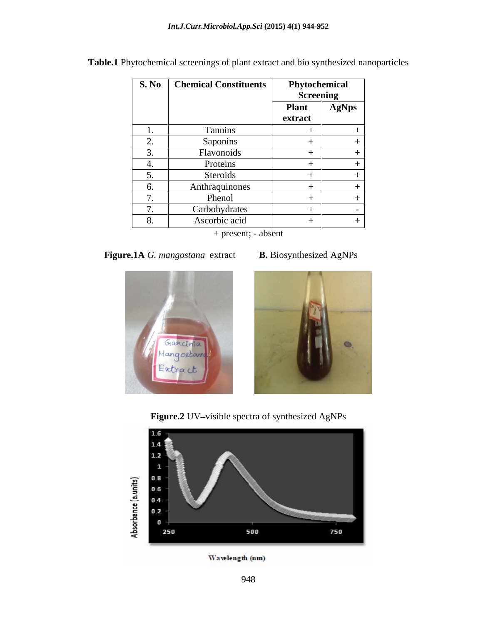| S. No    | <b>Chemical Constituents</b> |                  | Phytochemical |  |
|----------|------------------------------|------------------|---------------|--|
|          |                              | <b>Screening</b> |               |  |
|          |                              | <b>Plant</b>     | AgNps         |  |
|          |                              | extract          |               |  |
|          | Tannins                      |                  |               |  |
|          | Saponins                     |                  |               |  |
| <u>.</u> | Flavonoids                   |                  |               |  |
|          | Proteins                     |                  |               |  |
|          | Steroids                     |                  |               |  |
|          | Anthraquinones               |                  |               |  |
|          | Phenol                       |                  |               |  |
|          | Carbohydrates                |                  |               |  |
|          | Ascorbic acid                |                  |               |  |

**Table.1** Phytochemical screenings of plant extract and bio synthesized nanoparticles

+ present; - absent

 **Figure.1A** *G. mangostana* extract **B.** Biosynthesized AgNPs











Wavelength (nm)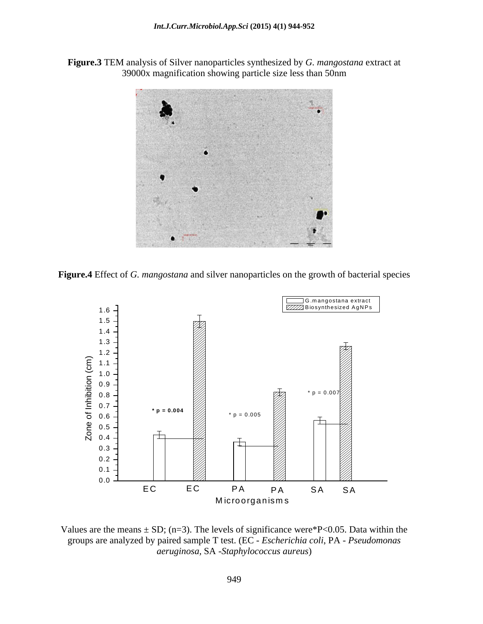**Figure.3** TEM analysis of Silver nanoparticles synthesized by *G. mangostana* extract at 39000x magnification showing particle size less than 50nm



**Figure.4** Effect of *G. mangostana* and silver nanoparticles on the growth of bacterial species



Values are the means  $\pm$  SD; (n=3). The levels of significance were\*P<0.05. Data within the groups are analyzed by paired sample T test. (EC - *Escherichia coli*, PA - *Pseudomonas aeruginosa,* SA -*Staphylococcus aureus*)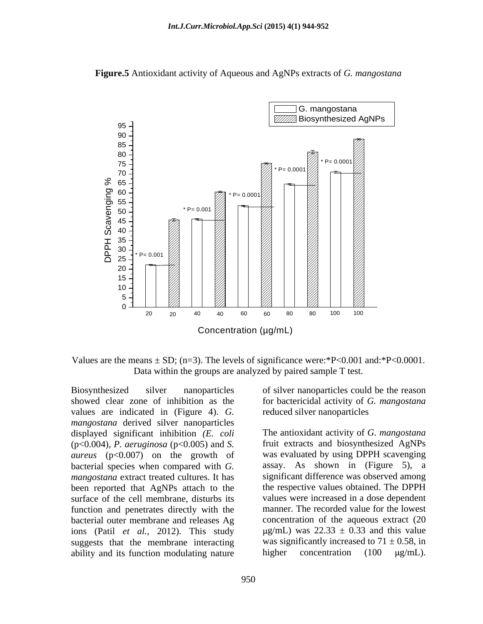



Values are the means  $\pm$  SD; (n=3). The levels of significance were:\*P<0.001 and:\*P<0.0001. Data within the groups are analyzed by paired sample T test.

Biosynthesized silver nanoparticles of silver nanoparticles could be the reason showed clear zone of inhibition as the for bactericidal activity of *G. mangostana* values are indicated in (Figure 4). *G. mangostana* derived silver nanoparticles displayed significant inhibition *(E. coli* (p<0.004), *P. aeruginosa* (p<0.005) and *S. aureus* (p<0.007) on the growth of bacterial species when compared with *G. mangostana* extract treated cultures. It has been reported that AgNPs attach to the function and penetrates directly with the bacterial outer membrane and releases Ag ions (Patil *et al.,* 2012). This study suggests that the membrane interacting ability and its function modulating nature  $\mu$  higher concentration (100  $\mu$ g/mL).

reduced silver nanoparticles

surface of the cell membrane, disturbs its values were increased in a dose dependent The antioxidant activity of *G. mangostana* fruit extracts and biosynthesized AgNPs was evaluated by using DPPH scavenging assay. As shown in (Figure 5), a significant difference was observed among the respective values obtained. The DPPH manner. The recorded value for the lowest concentration of the aqueous extract (20  $\mu$ g/mL) was 22.33  $\pm$  0.33 and this value was significantly increased to  $71 \pm 0.58$ , in higher concentration  $(100 \text{ µg/mL}).$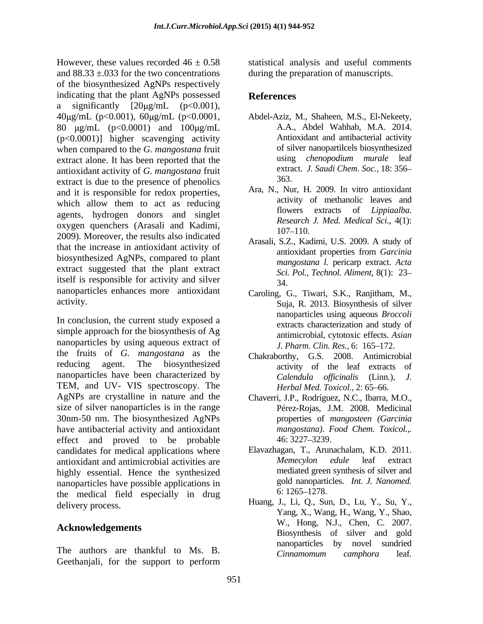However, these values recorded  $46 \pm 0.58$  statistical analysis and useful comments and 88.33 ±.033 for the two concentrations during the preparation of manuscripts. of the biosynthesized AgNPs respectively indicating that the plant AgNPs possessed References a significantly  $[20\mu g/mL$   $(p<0.001)$ , 40 g/mL (p<0.001), 60 g/mL (p<0.0001, 80  $\mu$ g/mL (p<0.0001) and 100  $\mu$ g/mL (p<0.0001)] higher scavenging activity when compared to the *G. mangostana* fruit of silver nanopartilcels biosynthesized<br>extract alone. It has been reported that the using *chenopodium murale* leaf extract alone. It has been reported that the antioxidant activity of *G. mangostana* fruit extract is due to the presence of phenolics and it is responsible for redox properties, which allow them to act as reducing agents, hydrogen donors and singlet oxygen quenchers (Arasali and Kadimi, https://www.com/2009.pdf/2009.pdf/2009.pdf/2009.pdf/2009.pdf/2009.pdf/2009.pdf/2009.pdf/2009.pdf/2009.pdf/2009.pdf/2009.pdf/2009.pdf/2009.pdf/2009.pdf/2009.pdf/2009.pdf/2009.pdf/2009.p 2009). Moreover, the results also indicated that the increase in antioxidant activity of antioxidant properties from *Garcinia* biosynthesized AgNPs, compared to plant extract suggested that the plant extract itself is responsible for activity and silver  $\frac{56}{34}$ nanoparticles enhances more antioxidant

In conclusion, the current study exposed a simple approach for the biosynthesis of Ag nanoparticles by using aqueous extract of the fruits of *G. mangostana* as the reducing agent. The biosynthesized activity of the leaf extracts of nanoparticles have been characterized by TEM, and UV- VIS spectroscopy. The AgNPs are crystalline in nature and the Chaverri, J.P., Rodríguez, N.C., Ibarra, M.O., size of silver nanoparticles is in the range 30nm-50 nm. The biosynthesized AgNPs have antibacterial activity and antioxidant effect and proved to be probable 46:3227-3239. candidates for medical applications where Elavazhagan, T., Arunachalam, K.<br>antioxidant and antimicrobial activities are *Memecylon edule* leaf antioxidant and antimicrobial activities are *Memecylon* edule leaf extract highly essential. Hence the synthesized<br>nanoparticles have possible applications in anoparticles. Int. J. Nanomed. nanoparticles have possible applications in formulations gold nanoparticles have possible applications in the state of the modified state of the modified state of the modified state of the modified state of the modified st the medical field especially in drug delivery process.

# **Acknowledgements**

The authors are thankful to Ms. B. Cinnamomum camphora leaf. Geethanjali, for the support to perform

# **References**

- Abdel-Aziz, M., Shaheen, M.S., El-Nekeety, A.A., Abdel Wahhab, M.A. 2014. Antioxidant and antibacterial activity of silver nanopartilcels biosynthesized using *chenopodium murale* leaf extract. *J. Saudi Chem. Soc.,* 18: 356 363.
- Ara, N., Nur, H. 2009. In vitro antioxidant activity of methanolic leaves and flowers extracts of *Lippiaalba*. *Research J. Med. Medical Sci*., 4(1): 107–110.
- Arasali, S.Z., Kadimi, U.S. 2009. A study of antioxidant properties from *Garcinia mangostana l.* pericarp extract. *Acta Sci. Pol., Technol. Aliment,* 8(1): 23 34.
- activity. Suja, R. 2013. Biosynthesis of silver Caroling, G., Tiwari, S.K., Ranjitham, M., nanoparticles using aqueous *Broccoli* extracts characterization and study of antimicrobial, cytotoxic effects. *Asian J. Pharm. Clin. Res., 6:* 165–172.
	- Chakraborthy, G.S. 2008. Antimicrobial *Calendula of icinalis* (Linn.), *J. Herbal Med. Toxicol., 2: 65-66.*
	- Pérez-Rojas, J.M. 2008. Medicinal properties of *mangosteen (Garcinia mangostana)*. *Food Chem. Toxicol.,.* 46: 3227–3239.
	- Elavazhagan, T., Arunachalam, K.D. 2011. *Memecylon edule* leaf extract mediated green synthesis of silver and gold nanoparticles. *Int. J. Nanomed*.<br>6: 1265–1278.
	- Huang, J., Li, Q., Sun, D., Lu, Y., Su, Y., Yang, X., Wang, H., Wang, Y., Shao, W., Hong, N.J., Chen, C. 2007. Biosynthesis of silver and gold nanoparticles by novel sundried *Cinnamomum camphora* leaf*.*